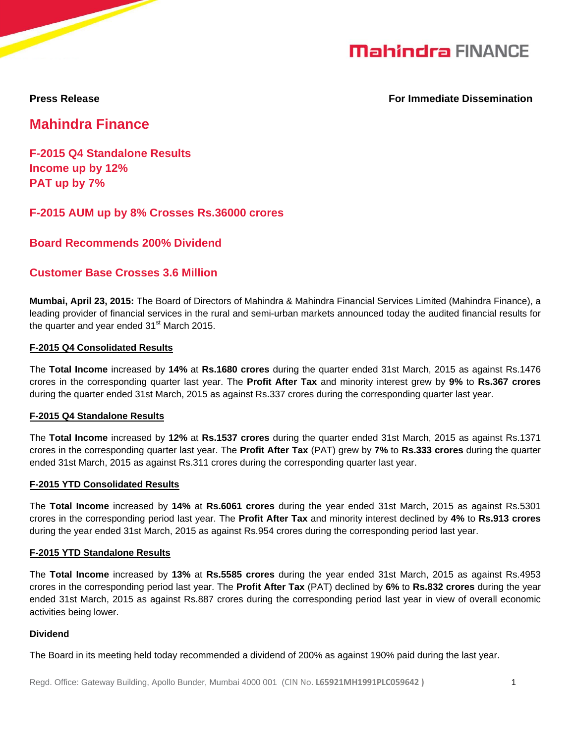# **Mahindra FINANCE**

**Press Release For Immediate Dissemination**

**Mahindra Finance**

**F-2015 Q4 Standalone Results Income up by 12% PAT up by 7%**

**F-2015 AUM up by 8% Crosses Rs.36000 crores** 

**Board Recommends 200% Dividend**

# **Customer Base Crosses 3.6 Million**

**Mumbai, April 23, 2015:** The Board of Directors of Mahindra & Mahindra Financial Services Limited (Mahindra Finance), a leading provider of financial services in the rural and semi-urban markets announced today the audited financial results for the quarter and year ended  $31<sup>st</sup>$  March 2015.

# **F-2015 Q4 Consolidated Results**

The **Total Income** increased by **14%** at **Rs.1680 crores** during the quarter ended 31st March, 2015 as against Rs.1476 crores in the corresponding quarter last year. The **Profit After Tax** and minority interest grew by **9%** to **Rs.367 crores** during the quarter ended 31st March, 2015 as against Rs.337 crores during the corresponding quarter last year.

# **F-2015 Q4 Standalone Results**

The **Total Income** increased by **12%** at **Rs.1537 crores** during the quarter ended 31st March, 2015 as against Rs.1371 crores in the corresponding quarter last year. The **Profit After Tax** (PAT) grew by **7%** to **Rs.333 crores** during the quarter ended 31st March, 2015 as against Rs.311 crores during the corresponding quarter last year.

# **F-2015 YTD Consolidated Results**

The **Total Income** increased by **14%** at **Rs.6061 crores** during the year ended 31st March, 2015 as against Rs.5301 crores in the corresponding period last year. The **Profit After Tax** and minority interest declined by **4%** to **Rs.913 crores** during the year ended 31st March, 2015 as against Rs.954 crores during the corresponding period last year.

#### **F-2015 YTD Standalone Results**

The **Total Income** increased by **13%** at **Rs.5585 crores** during the year ended 31st March, 2015 as against Rs.4953 crores in the corresponding period last year. The **Profit After Tax** (PAT) declined by **6%** to **Rs.832 crores** during the year ended 31st March, 2015 as against Rs.887 crores during the corresponding period last year in view of overall economic activities being lower.

#### **Dividend**

The Board in its meeting held today recommended a dividend of 200% as against 190% paid during the last year.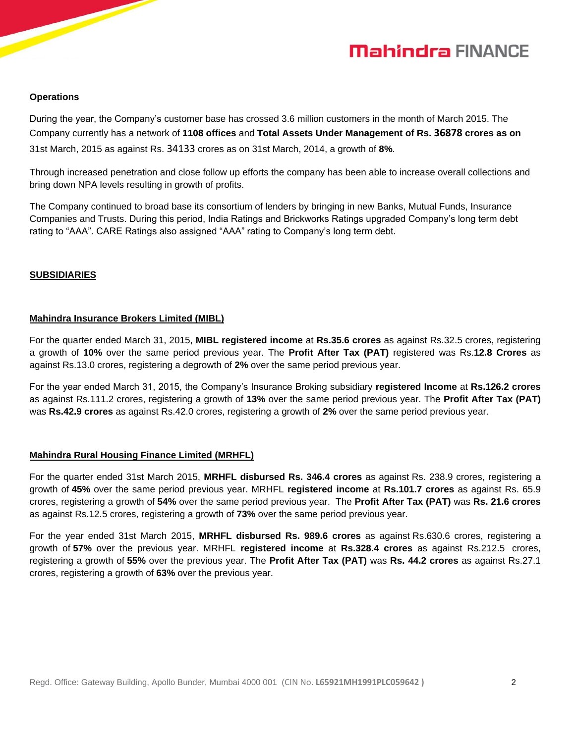# **Mahindra FINANCE**

#### **Operations**

During the year, the Company's customer base has crossed 3.6 million customers in the month of March 2015. The Company currently has a network of **1108 offices** and **Total Assets Under Management of Rs. 36878 crores as on**  31st March, 2015 as against Rs. 34133 crores as on 31st March, 2014, a growth of **8%**.

Through increased penetration and close follow up efforts the company has been able to increase overall collections and bring down NPA levels resulting in growth of profits.

The Company continued to broad base its consortium of lenders by bringing in new Banks, Mutual Funds, Insurance Companies and Trusts. During this period, India Ratings and Brickworks Ratings upgraded Company's long term debt rating to "AAA". CARE Ratings also assigned "AAA" rating to Company's long term debt.

#### **SUBSIDIARIES**

#### **Mahindra Insurance Brokers Limited (MIBL)**

For the quarter ended March 31, 2015, **MIBL registered income** at **Rs.35.6 crores** as against Rs.32.5 crores, registering a growth of **10%** over the same period previous year. The **Profit After Tax (PAT)** registered was Rs.**12.8 Crores** as against Rs.13.0 crores, registering a degrowth of **2%** over the same period previous year.

For the year ended March 31, 2015, the Company's Insurance Broking subsidiary **registered Income** at **Rs.126.2 crores** as against Rs.111.2 crores, registering a growth of **13%** over the same period previous year. The **Profit After Tax (PAT)** was **Rs.42.9 crores** as against Rs.42.0 crores, registering a growth of **2%** over the same period previous year.

# **Mahindra Rural Housing Finance Limited (MRHFL)**

For the quarter ended 31st March 2015, **MRHFL disbursed Rs. 346.4 crores** as against Rs. 238.9 crores, registering a growth of **45%** over the same period previous year. MRHFL **registered income** at **Rs.101.7 crores** as against Rs. 65.9 crores, registering a growth of **54%** over the same period previous year. The **Profit After Tax (PAT)** was **Rs. 21.6 crores** as against Rs.12.5 crores, registering a growth of **73%** over the same period previous year.

For the year ended 31st March 2015, **MRHFL disbursed Rs. 989.6 crores** as against Rs.630.6 crores, registering a growth of **57%** over the previous year. MRHFL **registered income** at **Rs.328.4 crores** as against Rs.212.5 crores, registering a growth of **55%** over the previous year. The **Profit After Tax (PAT)** was **Rs. 44.2 crores** as against Rs.27.1 crores, registering a growth of **63%** over the previous year.